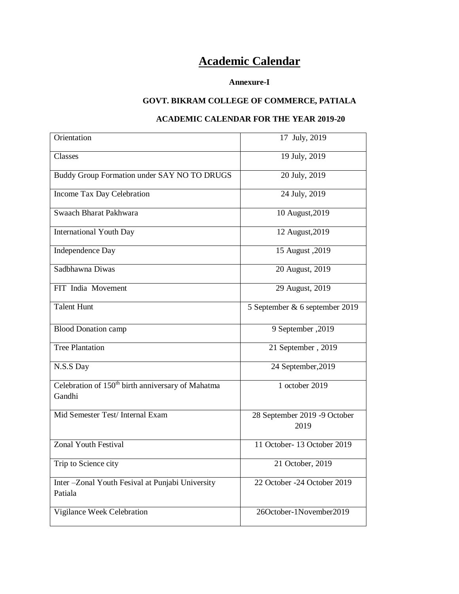## **Academic Calendar**

## **Annexure-I**

## **GOVT. BIKRAM COLLEGE OF COMMERCE, PATIALA**

## **ACADEMIC CALENDAR FOR THE YEAR 2019-20**

| Orientation                                                             | 17 July, 2019                        |
|-------------------------------------------------------------------------|--------------------------------------|
| Classes                                                                 | 19 July, 2019                        |
| Buddy Group Formation under SAY NO TO DRUGS                             | 20 July, 2019                        |
| <b>Income Tax Day Celebration</b>                                       | 24 July, 2019                        |
| Swaach Bharat Pakhwara                                                  | 10 August, 2019                      |
| <b>International Youth Day</b>                                          | 12 August, 2019                      |
| <b>Independence Day</b>                                                 | 15 August, 2019                      |
| Sadbhawna Diwas                                                         | 20 August, 2019                      |
| FIT India Movement                                                      | 29 August, 2019                      |
| <b>Talent Hunt</b>                                                      | 5 September & 6 september 2019       |
| <b>Blood Donation camp</b>                                              | 9 September , 2019                   |
| <b>Tree Plantation</b>                                                  | 21 September, 2019                   |
| N.S.S Day                                                               | 24 September, 2019                   |
| Celebration of 150 <sup>th</sup> birth anniversary of Mahatma<br>Gandhi | 1 october 2019                       |
| Mid Semester Test/ Internal Exam                                        | 28 September 2019 -9 October<br>2019 |
| <b>Zonal Youth Festival</b>                                             | 11 October-13 October 2019           |
| Trip to Science city                                                    | 21 October, 2019                     |
| Inter-Zonal Youth Fesival at Punjabi University<br>Patiala              | 22 October -24 October 2019          |
| Vigilance Week Celebration                                              | 26October-1November2019              |